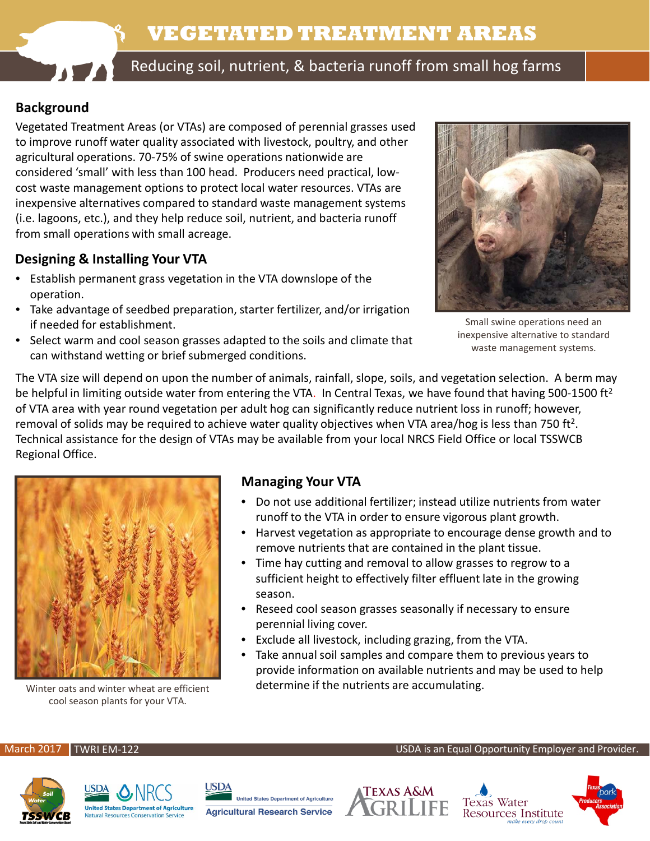# **VEGETATED TREATMENT AREAS**



Reducing soil, nutrient, & bacteria runoff from small hog farms

# **Background**

Vegetated Treatment Areas (or VTAs) are composed of perennial grasses used to improve runoff water quality associated with livestock, poultry, and other agricultural operations. 70-75% of swine operations nationwide are considered 'small' with less than 100 head. Producers need practical, lowcost waste management options to protect local water resources. VTAs are inexpensive alternatives compared to standard waste management systems (i.e. lagoons, etc.), and they help reduce soil, nutrient, and bacteria runoff from small operations with small acreage.

### **Designing & Installing Your VTA**

- Establish permanent grass vegetation in the VTA downslope of the operation.
- Take advantage of seedbed preparation, starter fertilizer, and/or irrigation if needed for establishment.
- Select warm and cool season grasses adapted to the soils and climate that can withstand wetting or brief submerged conditions.



Small swine operations need an inexpensive alternative to standard waste management systems.

The VTA size will depend on upon the number of animals, rainfall, slope, soils, and vegetation selection. A berm may be helpful in limiting outside water from entering the VTA. In Central Texas, we have found that having 500-1500 ft<sup>2</sup> of VTA area with year round vegetation per adult hog can significantly reduce nutrient loss in runoff; however, removal of solids may be required to achieve water quality objectives when VTA area/hog is less than 750 ft<sup>2</sup>. Technical assistance for the design of VTAs may be available from your local NRCS Field Office or local TSSWCB Regional Office.



Winter oats and winter wheat are efficient cool season plants for your VTA.

#### **Managing Your VTA**

- Do not use additional fertilizer; instead utilize nutrients from water runoff to the VTA in order to ensure vigorous plant growth.
- Harvest vegetation as appropriate to encourage dense growth and to remove nutrients that are contained in the plant tissue.
- Time hay cutting and removal to allow grasses to regrow to a sufficient height to effectively filter effluent late in the growing season.
- Reseed cool season grasses seasonally if necessary to ensure perennial living cover.
- Exclude all livestock, including grazing, from the VTA.
- Take annual soil samples and compare them to previous years to provide information on available nutrients and may be used to help determine if the nutrients are accumulating.